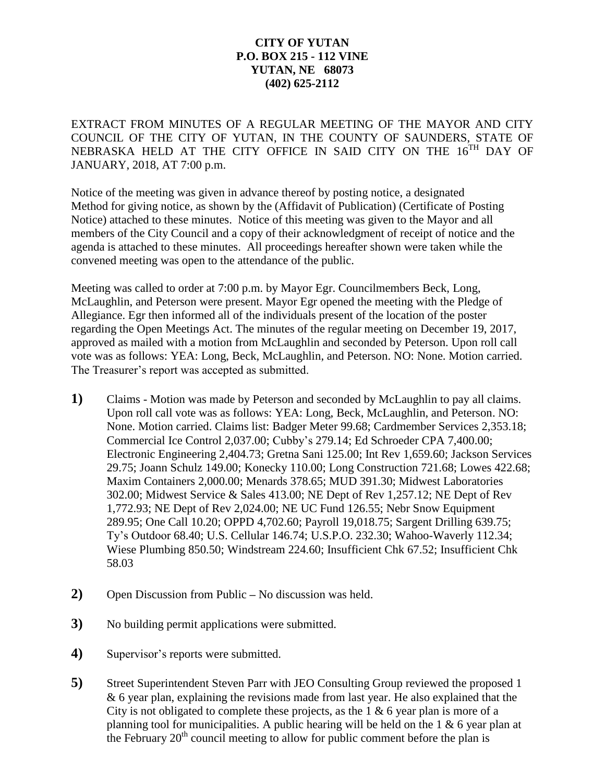## **CITY OF YUTAN P.O. BOX 215 - 112 VINE YUTAN, NE 68073 (402) 625-2112**

EXTRACT FROM MINUTES OF A REGULAR MEETING OF THE MAYOR AND CITY COUNCIL OF THE CITY OF YUTAN, IN THE COUNTY OF SAUNDERS, STATE OF NEBRASKA HELD AT THE CITY OFFICE IN SAID CITY ON THE 16<sup>TH</sup> DAY OF JANUARY, 2018, AT 7:00 p.m.

Notice of the meeting was given in advance thereof by posting notice, a designated Method for giving notice, as shown by the (Affidavit of Publication) (Certificate of Posting Notice) attached to these minutes. Notice of this meeting was given to the Mayor and all members of the City Council and a copy of their acknowledgment of receipt of notice and the agenda is attached to these minutes. All proceedings hereafter shown were taken while the convened meeting was open to the attendance of the public.

Meeting was called to order at 7:00 p.m. by Mayor Egr. Councilmembers Beck, Long, McLaughlin, and Peterson were present. Mayor Egr opened the meeting with the Pledge of Allegiance. Egr then informed all of the individuals present of the location of the poster regarding the Open Meetings Act. The minutes of the regular meeting on December 19, 2017, approved as mailed with a motion from McLaughlin and seconded by Peterson. Upon roll call vote was as follows: YEA: Long, Beck, McLaughlin, and Peterson. NO: None. Motion carried. The Treasurer's report was accepted as submitted.

- **1)** Claims Motion was made by Peterson and seconded by McLaughlin to pay all claims. Upon roll call vote was as follows: YEA: Long, Beck, McLaughlin, and Peterson. NO: None. Motion carried. Claims list: Badger Meter 99.68; Cardmember Services 2,353.18; Commercial Ice Control 2,037.00; Cubby's 279.14; Ed Schroeder CPA 7,400.00; Electronic Engineering 2,404.73; Gretna Sani 125.00; Int Rev 1,659.60; Jackson Services 29.75; Joann Schulz 149.00; Konecky 110.00; Long Construction 721.68; Lowes 422.68; Maxim Containers 2,000.00; Menards 378.65; MUD 391.30; Midwest Laboratories 302.00; Midwest Service & Sales 413.00; NE Dept of Rev 1,257.12; NE Dept of Rev 1,772.93; NE Dept of Rev 2,024.00; NE UC Fund 126.55; Nebr Snow Equipment 289.95; One Call 10.20; OPPD 4,702.60; Payroll 19,018.75; Sargent Drilling 639.75; Ty's Outdoor 68.40; U.S. Cellular 146.74; U.S.P.O. 232.30; Wahoo-Waverly 112.34; Wiese Plumbing 850.50; Windstream 224.60; Insufficient Chk 67.52; Insufficient Chk 58.03
- **2)** Open Discussion from Public **–** No discussion was held.
- **3)** No building permit applications were submitted.
- **4)** Supervisor's reports were submitted.
- **5)** Street Superintendent Steven Parr with JEO Consulting Group reviewed the proposed 1 & 6 year plan, explaining the revisions made from last year. He also explained that the City is not obligated to complete these projects, as the  $1 \& 6$  year plan is more of a planning tool for municipalities. A public hearing will be held on the 1  $\&$  6 year plan at the February  $20<sup>th</sup>$  council meeting to allow for public comment before the plan is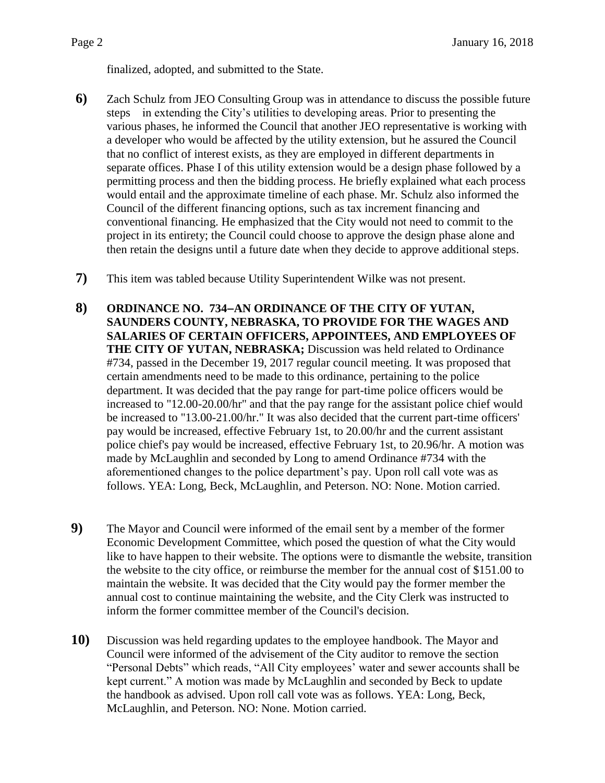finalized, adopted, and submitted to the State.

- **6)** Zach Schulz from JEO Consulting Group was in attendance to discuss the possible future steps in extending the City's utilities to developing areas. Prior to presenting the various phases, he informed the Council that another JEO representative is working with a developer who would be affected by the utility extension, but he assured the Council that no conflict of interest exists, as they are employed in different departments in separate offices. Phase I of this utility extension would be a design phase followed by a permitting process and then the bidding process. He briefly explained what each process would entail and the approximate timeline of each phase. Mr. Schulz also informed the Council of the different financing options, such as tax increment financing and conventional financing. He emphasized that the City would not need to commit to the project in its entirety; the Council could choose to approve the design phase alone and then retain the designs until a future date when they decide to approve additional steps.
- **7)** This item was tabled because Utility Superintendent Wilke was not present.
- **8) ORDINANCE NO. 734AN ORDINANCE OF THE CITY OF YUTAN, SAUNDERS COUNTY, NEBRASKA, TO PROVIDE FOR THE WAGES AND SALARIES OF CERTAIN OFFICERS, APPOINTEES, AND EMPLOYEES OF THE CITY OF YUTAN, NEBRASKA;** Discussion was held related to Ordinance #734, passed in the December 19, 2017 regular council meeting. It was proposed that certain amendments need to be made to this ordinance, pertaining to the police department. It was decided that the pay range for part-time police officers would be increased to "12.00-20.00/hr" and that the pay range for the assistant police chief would be increased to "13.00-21.00/hr." It was also decided that the current part-time officers' pay would be increased, effective February 1st, to 20.00/hr and the current assistant police chief's pay would be increased, effective February 1st, to 20.96/hr. A motion was made by McLaughlin and seconded by Long to amend Ordinance #734 with the aforementioned changes to the police department's pay. Upon roll call vote was as follows. YEA: Long, Beck, McLaughlin, and Peterson. NO: None. Motion carried.
- **9)** The Mayor and Council were informed of the email sent by a member of the former Economic Development Committee, which posed the question of what the City would like to have happen to their website. The options were to dismantle the website, transition the website to the city office, or reimburse the member for the annual cost of \$151.00 to maintain the website. It was decided that the City would pay the former member the annual cost to continue maintaining the website, and the City Clerk was instructed to inform the former committee member of the Council's decision.
- **10)** Discussion was held regarding updates to the employee handbook. The Mayor and Council were informed of the advisement of the City auditor to remove the section "Personal Debts" which reads, "All City employees' water and sewer accounts shall be kept current." A motion was made by McLaughlin and seconded by Beck to update the handbook as advised. Upon roll call vote was as follows. YEA: Long, Beck, McLaughlin, and Peterson. NO: None. Motion carried.